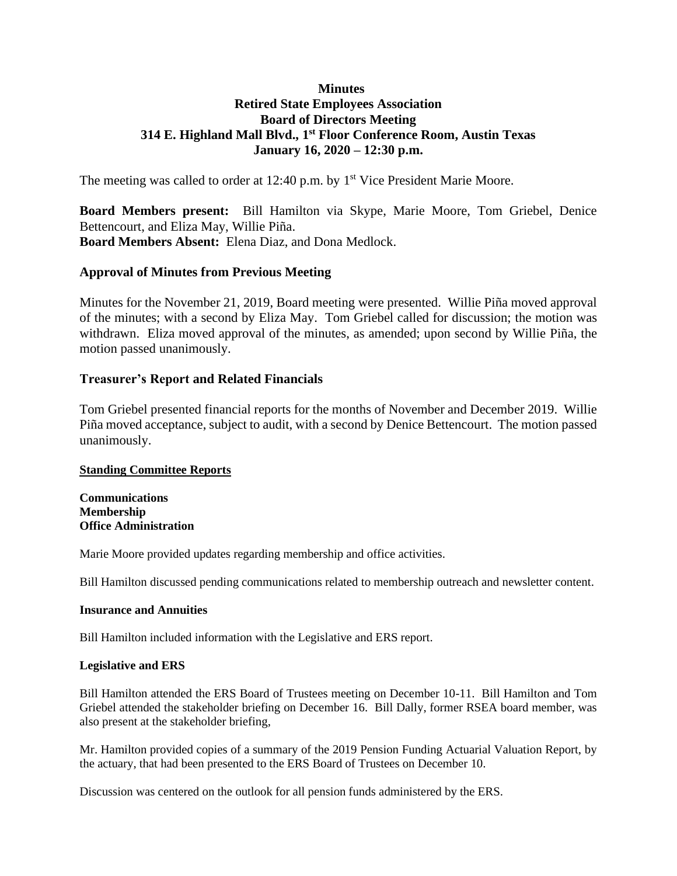# **Minutes Retired State Employees Association Board of Directors Meeting 314 E. Highland Mall Blvd., 1 st Floor Conference Room, Austin Texas January 16, 2020 – 12:30 p.m.**

The meeting was called to order at 12:40 p.m. by 1<sup>st</sup> Vice President Marie Moore.

**Board Members present:** Bill Hamilton via Skype, Marie Moore, Tom Griebel, Denice Bettencourt, and Eliza May, Willie Piña. **Board Members Absent:** Elena Diaz, and Dona Medlock.

## **Approval of Minutes from Previous Meeting**

Minutes for the November 21, 2019, Board meeting were presented. Willie Piña moved approval of the minutes; with a second by Eliza May. Tom Griebel called for discussion; the motion was withdrawn. Eliza moved approval of the minutes, as amended; upon second by Willie Piña, the motion passed unanimously.

### **Treasurer's Report and Related Financials**

Tom Griebel presented financial reports for the months of November and December 2019. Willie Piña moved acceptance, subject to audit, with a second by Denice Bettencourt. The motion passed unanimously.

### **Standing Committee Reports**

**Communications Membership Office Administration**

Marie Moore provided updates regarding membership and office activities.

Bill Hamilton discussed pending communications related to membership outreach and newsletter content.

#### **Insurance and Annuities**

Bill Hamilton included information with the Legislative and ERS report.

### **Legislative and ERS**

Bill Hamilton attended the ERS Board of Trustees meeting on December 10-11. Bill Hamilton and Tom Griebel attended the stakeholder briefing on December 16. Bill Dally, former RSEA board member, was also present at the stakeholder briefing,

Mr. Hamilton provided copies of a summary of the 2019 Pension Funding Actuarial Valuation Report, by the actuary, that had been presented to the ERS Board of Trustees on December 10.

Discussion was centered on the outlook for all pension funds administered by the ERS.